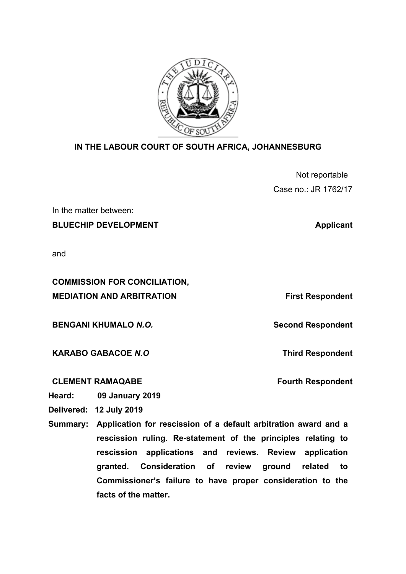

## **IN THE LABOUR COURT OF SOUTH AFRICA, JOHANNESBURG**

| Not reportable       |
|----------------------|
| Case no.: JR 1762/17 |

In the matter between:

**BLUECHIP DEVELOPMENT** Applicant

and

**COMMISSION FOR CONCILIATION, MEDIATION AND ARBITRATION First Respondent** 

**BENGANI KHUMALO N.O. Second Respondent Second Respondent** 

**KARABO GABACOE** *N.O*

## **CLEMENT RAMAQABE**

**Fourth Respondent**

**Third Respondent**

**Heard: 09 January 2019**

**Delivered: 12 July 2019**

**Summary: Application for rescission of a default arbitration award and a rescission ruling. Re-statement of the principles relating to rescission applications and reviews. Review application granted. Consideration of review ground related to Commissioner's failure to have proper consideration to the facts of the matter.**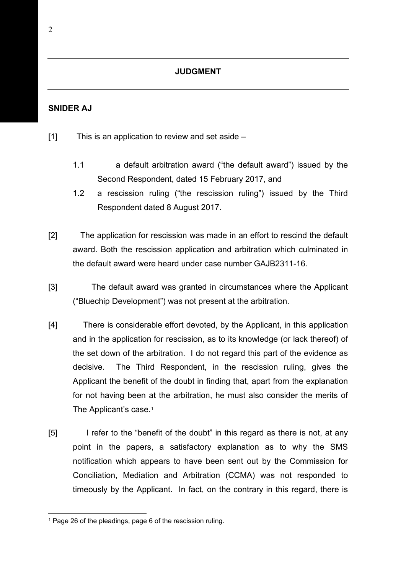## **JUDGMENT**

## **SNIDER AJ**

- $[1]$  This is an application to review and set aside
	- 1.1 a default arbitration award ("the default award") issued by the Second Respondent, dated 15 February 2017, and
	- 1.2 a rescission ruling ("the rescission ruling") issued by the Third Respondent dated 8 August 2017.
- [2] The application for rescission was made in an effort to rescind the default award. Both the rescission application and arbitration which culminated in the default award were heard under case number GAJB2311-16.
- [3] The default award was granted in circumstances where the Applicant ("Bluechip Development") was not present at the arbitration.
- [4] There is considerable effort devoted, by the Applicant, in this application and in the application for rescission, as to its knowledge (or lack thereof) of the set down of the arbitration. I do not regard this part of the evidence as decisive. The Third Respondent, in the rescission ruling, gives the Applicant the benefit of the doubt in finding that, apart from the explanation for not having been at the arbitration, he must also consider the merits of The Applicant's case.<sup>[1](#page-1-0)</sup>
- [5] I refer to the "benefit of the doubt" in this regard as there is not, at any point in the papers, a satisfactory explanation as to why the SMS notification which appears to have been sent out by the Commission for Conciliation, Mediation and Arbitration (CCMA) was not responded to timeously by the Applicant. In fact, on the contrary in this regard, there is

<span id="page-1-0"></span><sup>1</sup> Page 26 of the pleadings, page 6 of the rescission ruling.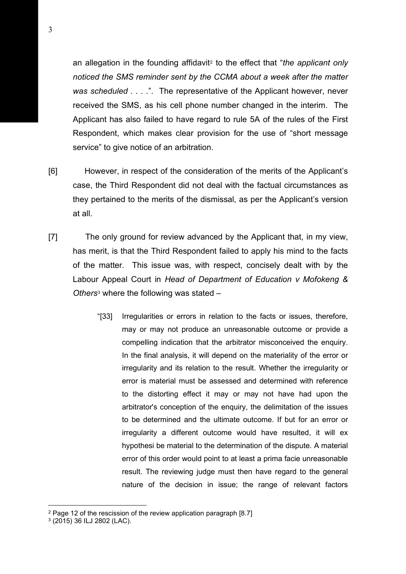an allegation in the founding affidavit[2](#page-2-0) to the effect that "*the applicant only noticed the SMS reminder sent by the CCMA about a week after the matter was scheduled . . . .*". The representative of the Applicant however, never received the SMS, as his cell phone number changed in the interim. The Applicant has also failed to have regard to rule 5A of the rules of the First Respondent, which makes clear provision for the use of "short message service" to give notice of an arbitration.

- [6] However, in respect of the consideration of the merits of the Applicant's case, the Third Respondent did not deal with the factual circumstances as they pertained to the merits of the dismissal, as per the Applicant's version at all.
- [7] The only ground for review advanced by the Applicant that, in my view, has merit, is that the Third Respondent failed to apply his mind to the facts of the matter. This issue was, with respect, concisely dealt with by the Labour Appeal Court in *Head of Department of Education v Mofokeng & Others*[3](#page-2-1) where the following was stated –
	- "[33] Irregularities or errors in relation to the facts or issues, therefore, may or may not produce an unreasonable outcome or provide a compelling indication that the arbitrator misconceived the enquiry. In the final analysis, it will depend on the materiality of the error or irregularity and its relation to the result. Whether the irregularity or error is material must be assessed and determined with reference to the distorting effect it may or may not have had upon the arbitrator's conception of the enquiry, the delimitation of the issues to be determined and the ultimate outcome. If but for an error or irregularity a different outcome would have resulted, it will ex hypothesi be material to the determination of the dispute. A material error of this order would point to at least a prima facie unreasonable result. The reviewing judge must then have regard to the general nature of the decision in issue; the range of relevant factors

<span id="page-2-0"></span><sup>2</sup> Page 12 of the rescission of the review application paragraph [8.7]

<span id="page-2-1"></span><sup>3</sup> (2015) 36 ILJ 2802 (LAC).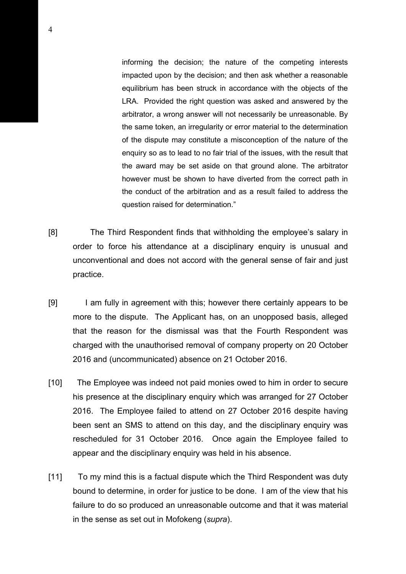informing the decision; the nature of the competing interests impacted upon by the decision; and then ask whether a reasonable equilibrium has been struck in accordance with the objects of the LRA. Provided the right question was asked and answered by the arbitrator, a wrong answer will not necessarily be unreasonable. By the same token, an irregularity or error material to the determination of the dispute may constitute a misconception of the nature of the enquiry so as to lead to no fair trial of the issues, with the result that the award may be set aside on that ground alone. The arbitrator however must be shown to have diverted from the correct path in the conduct of the arbitration and as a result failed to address the question raised for determination."

- [8] The Third Respondent finds that withholding the employee's salary in order to force his attendance at a disciplinary enquiry is unusual and unconventional and does not accord with the general sense of fair and just practice.
- [9] I am fully in agreement with this; however there certainly appears to be more to the dispute. The Applicant has, on an unopposed basis, alleged that the reason for the dismissal was that the Fourth Respondent was charged with the unauthorised removal of company property on 20 October 2016 and (uncommunicated) absence on 21 October 2016.
- [10] The Employee was indeed not paid monies owed to him in order to secure his presence at the disciplinary enquiry which was arranged for 27 October 2016. The Employee failed to attend on 27 October 2016 despite having been sent an SMS to attend on this day, and the disciplinary enquiry was rescheduled for 31 October 2016. Once again the Employee failed to appear and the disciplinary enquiry was held in his absence.
- [11] To my mind this is a factual dispute which the Third Respondent was duty bound to determine, in order for justice to be done. I am of the view that his failure to do so produced an unreasonable outcome and that it was material in the sense as set out in Mofokeng (*supra*).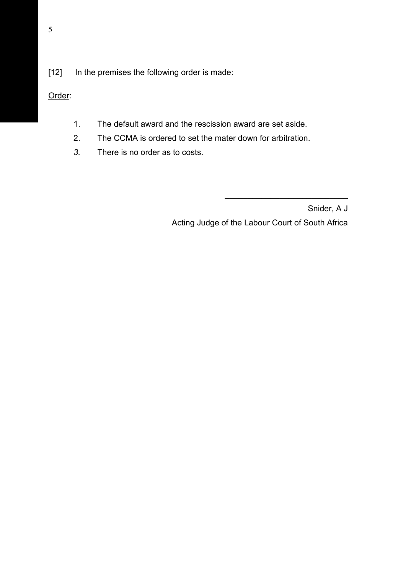Order:

- 1. The default award and the rescission award are set aside.
- 2. The CCMA is ordered to set the mater down for arbitration.
- *3.* There is no order as to costs.

Snider, A J Acting Judge of the Labour Court of South Africa

\_\_\_\_\_\_\_\_\_\_\_\_\_\_\_\_\_\_\_\_\_\_\_\_\_\_\_